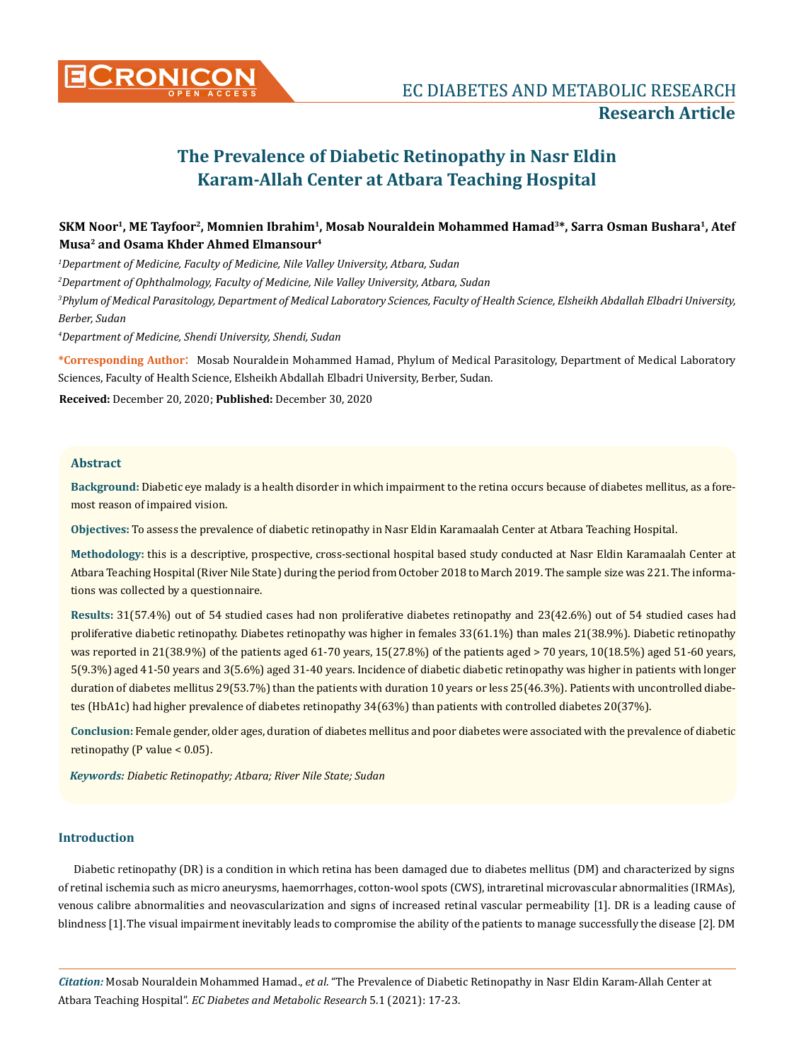

# **SKM Noor1, ME Tayfoor2, Momnien Ibrahim1, Mosab Nouraldein Mohammed Hamad3\*, Sarra Osman Bushara1, Atef Musa2 and Osama Khder Ahmed Elmansour4**

*1 Department of Medicine, Faculty of Medicine, Nile Valley University, Atbara, Sudan*

*2 Department of Ophthalmology, Faculty of Medicine, Nile Valley University, Atbara, Sudan*

*3 Phylum of Medical Parasitology, Department of Medical Laboratory Sciences, Faculty of Health Science, Elsheikh Abdallah Elbadri University, Berber, Sudan*

*4 Department of Medicine, Shendi University, Shendi, Sudan*

**\*Corresponding Author**: Mosab Nouraldein Mohammed Hamad, Phylum of Medical Parasitology, Department of Medical Laboratory Sciences, Faculty of Health Science, Elsheikh Abdallah Elbadri University, Berber, Sudan.

**Received:** December 20, 2020; **Published:** December 30, 2020

#### **Abstract**

**Background:** Diabetic eye malady is a health disorder in which impairment to the retina occurs because of diabetes mellitus, as a foremost reason of impaired vision.

**Objectives:** To assess the prevalence of diabetic retinopathy in Nasr Eldin Karamaalah Center at Atbara Teaching Hospital.

**Methodology:** this is a descriptive, prospective, cross-sectional hospital based study conducted at Nasr Eldin Karamaalah Center at Atbara Teaching Hospital (River Nile State) during the period from October 2018 to March 2019. The sample size was 221. The informations was collected by a questionnaire.

**Results:** 31(57.4%) out of 54 studied cases had non proliferative diabetes retinopathy and 23(42.6%) out of 54 studied cases had proliferative diabetic retinopathy. Diabetes retinopathy was higher in females 33(61.1%) than males 21(38.9%). Diabetic retinopathy was reported in 21(38.9%) of the patients aged 61-70 years, 15(27.8%) of the patients aged > 70 years, 10(18.5%) aged 51-60 years, 5(9.3%) aged 41-50 years and 3(5.6%) aged 31-40 years. Incidence of diabetic diabetic retinopathy was higher in patients with longer duration of diabetes mellitus 29(53.7%) than the patients with duration 10 years or less 25(46.3%). Patients with uncontrolled diabetes (HbA1c) had higher prevalence of diabetes retinopathy 34(63%) than patients with controlled diabetes 20(37%).

**Conclusion:** Female gender, older ages, duration of diabetes mellitus and poor diabetes were associated with the prevalence of diabetic retinopathy (P value  $< 0.05$ ).

*Keywords: Diabetic Retinopathy; Atbara; River Nile State; Sudan*

#### **Introduction**

Diabetic retinopathy (DR) is a condition in which retina has been damaged due to diabetes mellitus (DM) and characterized by signs of retinal ischemia such as micro aneurysms, haemorrhages, cotton-wool spots (CWS), intraretinal microvascular abnormalities (IRMAs), venous calibre abnormalities and neovascularization and signs of increased retinal vascular permeability [1]. DR is a leading cause of blindness [1].The visual impairment inevitably leads to compromise the ability of the patients to manage successfully the disease [2]. DM

*Citation:* Mosab Nouraldein Mohammed Hamad., *et al*. "The Prevalence of Diabetic Retinopathy in Nasr Eldin Karam-Allah Center at Atbara Teaching Hospital". *EC Diabetes and Metabolic Research* 5.1 (2021): 17-23.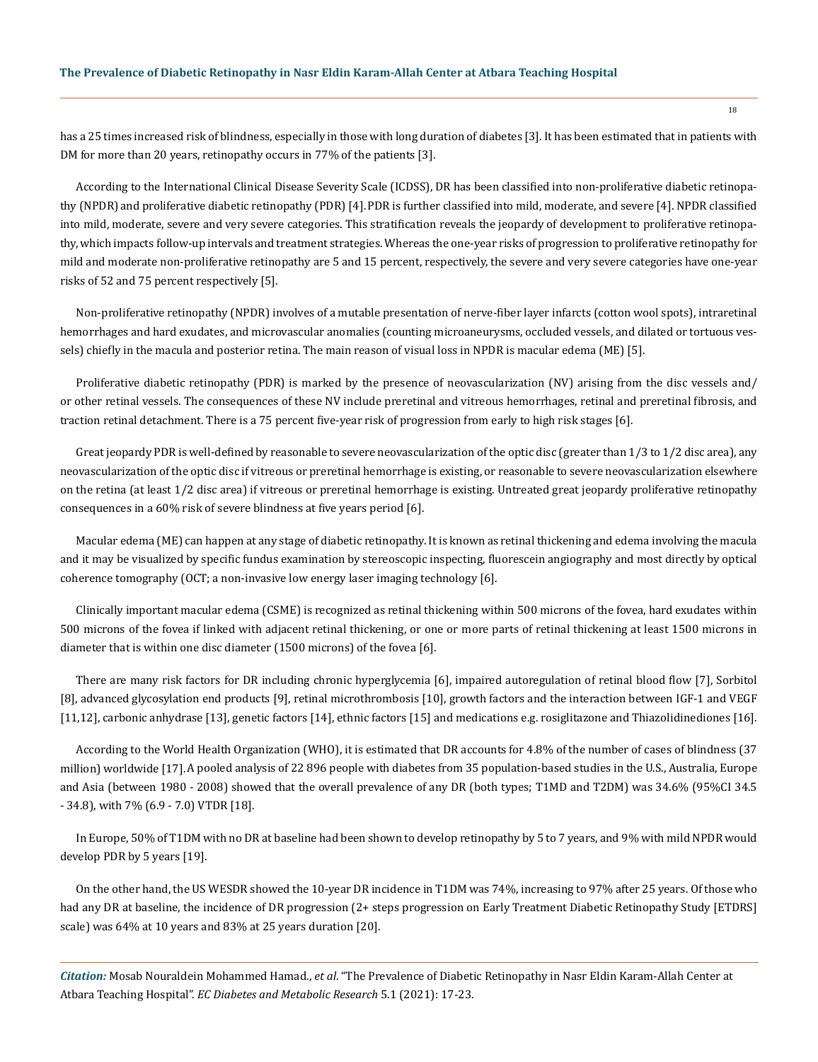has a 25 times increased risk of blindness, especially in those with long duration of diabetes [3]. It has been estimated that in patients with DM for more than 20 years, retinopathy occurs in 77% of the patients [3].

According to the International Clinical Disease Severity Scale (ICDSS), DR has been classified into non-proliferative diabetic retinopathy (NPDR)and proliferative diabetic retinopathy (PDR) [4].PDR is further classified into mild, moderate, and severe [4]. NPDR classified into mild, moderate, severe and very severe categories. This stratification reveals the jeopardy of development to proliferative retinopathy, which impacts follow-up intervals and treatment strategies. Whereas the one-year risks of progression to proliferative retinopathy for mild and moderate non-proliferative retinopathy are 5 and 15 percent, respectively, the severe and very severe categories have one-year risks of 52 and 75 percent respectively [5].

Non-proliferative retinopathy (NPDR) involves of a mutable presentation of nerve-fiber layer infarcts (cotton wool spots), intraretinal hemorrhages and hard exudates, and microvascular anomalies (counting microaneurysms, occluded vessels, and dilated or tortuous vessels) chiefly in the macula and posterior retina. The main reason of visual loss in NPDR is macular edema (ME) [5].

Proliferative diabetic retinopathy (PDR) is marked by the presence of neovascularization (NV) arising from the disc vessels and/ or other retinal vessels. The consequences of these NV include preretinal and vitreous hemorrhages, retinal and preretinal fibrosis, and traction retinal detachment. There is a 75 percent five-year risk of progression from early to high risk stages [6].

Great jeopardy PDR is well-defined by reasonable to severe neovascularization of the optic disc (greater than 1/3 to 1/2 disc area), any neovascularization of the optic disc if vitreous or preretinal hemorrhage is existing, or reasonable to severe neovascularization elsewhere on the retina (at least 1/2 disc area) if vitreous or preretinal hemorrhage is existing. Untreated great jeopardy proliferative retinopathy consequences in a 60% risk of severe blindness at five years period [6].

Macular edema (ME) can happen at any stage of diabetic retinopathy. It is known as retinal thickening and edema involving the macula and it may be visualized by specific fundus examination by stereoscopic inspecting, fluorescein angiography and most directly by optical coherence tomography (OCT; a non-invasive low energy laser imaging technology [6].

Clinically important macular edema (CSME) is recognized as retinal thickening within 500 microns of the fovea, hard exudates within 500 microns of the fovea if linked with adjacent retinal thickening, or one or more parts of retinal thickening at least 1500 microns in diameter that is within one disc diameter (1500 microns) of the fovea [6].

There are many risk factors for DR including chronic hyperglycemia [6], impaired autoregulation of retinal blood flow [7], Sorbitol [8], advanced glycosylation end products [9], retinal microthrombosis [10], growth factors and the interaction between IGF-1 and VEGF [11,12], carbonic anhydrase [13], genetic factors [14], ethnic factors [15] and medications e.g. rosiglitazone and Thiazolidinediones [16].

According to the World Health Organization (WHO), it is estimated that DR accounts for 4.8% of the number of cases of blindness (37 million) worldwide [17].A pooled analysis of 22 896 people with diabetes from 35 population-based studies in the U.S., Australia, Europe and Asia (between 1980 - 2008) showed that the overall prevalence of any DR (both types; T1MD and T2DM) was 34.6% (95%CI 34.5 - 34.8), with 7% (6.9 - 7.0) VTDR [18].

In Europe, 50% of T1DM with no DR at baseline had been shown to develop retinopathy by 5 to 7 years, and 9% with mild NPDR would develop PDR by 5 years [19].

On the other hand, the US WESDR showed the 10-year DR incidence in T1DM was 74%, increasing to 97% after 25 years. Of those who had any DR at baseline, the incidence of DR progression (2+ steps progression on Early Treatment Diabetic Retinopathy Study [ETDRS] scale) was 64% at 10 years and 83% at 25 years duration [20].

*Citation:* Mosab Nouraldein Mohammed Hamad., *et al*. "The Prevalence of Diabetic Retinopathy in Nasr Eldin Karam-Allah Center at Atbara Teaching Hospital". *EC Diabetes and Metabolic Research* 5.1 (2021): 17-23.

18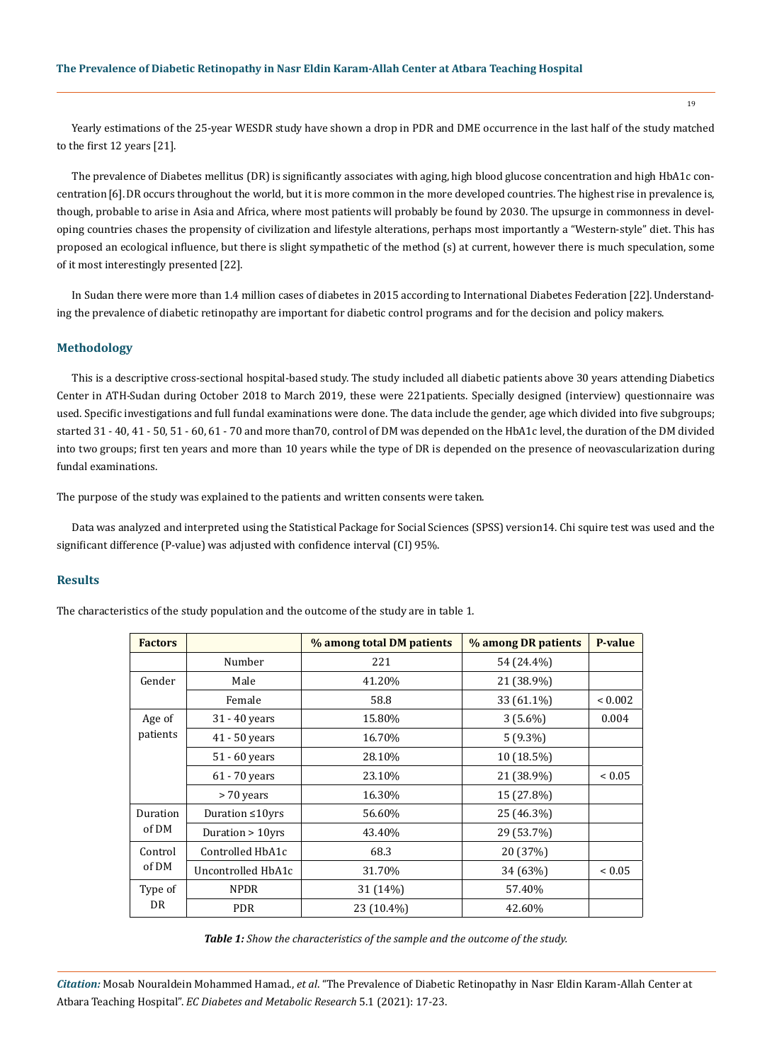19

Yearly estimations of the 25-year WESDR study have shown a drop in PDR and DME occurrence in the last half of the study matched to the first 12 years [21].

The prevalence of Diabetes mellitus (DR) is significantly associates with aging, high blood glucose concentration and high HbA1c concentration[6].DR occurs throughout the world, but it is more common in the more developed countries. The highest rise in prevalence is, though, probable to arise in Asia and Africa, where most patients will probably be found by 2030. The upsurge in commonness in developing countries chases the propensity of civilization and lifestyle alterations, perhaps most importantly a "Western-style" diet. This has proposed an ecological influence, but there is slight sympathetic of the method (s) at current, however there is much speculation, some of it most interestingly presented [22].

In Sudan there were more than 1.4 million cases of diabetes in 2015 according to International Diabetes Federation [22].Understanding the prevalence of diabetic retinopathy are important for diabetic control programs and for the decision and policy makers.

## **Methodology**

This is a descriptive cross-sectional hospital-based study. The study included all diabetic patients above 30 years attending Diabetics Center in ATH-Sudan during October 2018 to March 2019, these were 221patients. Specially designed (interview) questionnaire was used. Specific investigations and full fundal examinations were done. The data include the gender, age which divided into five subgroups; started 31 - 40, 41 - 50, 51 - 60, 61 - 70 and more than70, control of DM was depended on the HbA1c level, the duration of the DM divided into two groups; first ten years and more than 10 years while the type of DR is depended on the presence of neovascularization during fundal examinations.

The purpose of the study was explained to the patients and written consents were taken.

Data was analyzed and interpreted using the Statistical Package for Social Sciences (SPSS) version14. Chi squire test was used and the significant difference (P-value) was adjusted with confidence interval (CI) 95%.

## **Results**

The characteristics of the study population and the outcome of the study are in table 1.

| <b>Factors</b>     |                        | % among total DM patients | % among DR patients | <b>P-value</b> |
|--------------------|------------------------|---------------------------|---------------------|----------------|
|                    | Number                 | 221                       | 54 (24.4%)          |                |
| Gender             | Male                   | 41.20%                    | 21 (38.9%)          |                |
|                    | Female                 | 58.8                      | 33 (61.1%)          | ${}_{0.002}$   |
| Age of<br>patients | 31 - 40 years          | 15.80%                    | $3(5.6\%)$          | 0.004          |
|                    | $41 - 50$ years        | 16.70%                    | $5(9.3\%)$          |                |
|                    | 51 - 60 years          | 28.10%                    | 10 (18.5%)          |                |
|                    | 61 - 70 years          | 23.10%                    | 21 (38.9%)          | ${}< 0.05$     |
|                    | > 70 years             | 16.30%                    | 15 (27.8%)          |                |
| Duration<br>of DM  | Duration $\leq 10$ yrs | 56.60%                    | 25 (46.3%)          |                |
|                    | Duration $> 10$ yrs    | 43.40%                    | 29 (53.7%)          |                |
| Control<br>of DM   | Controlled HbA1c       | 68.3                      | 20 (37%)            |                |
|                    | Uncontrolled HbA1c     | 31.70%                    | 34 (63%)            | ${}_{0.05}$    |
| Type of<br>DR      | <b>NPDR</b>            | 31 (14%)                  | 57.40%              |                |
|                    | <b>PDR</b>             | 23 (10.4%)                | 42.60%              |                |

*Table 1: Show the characteristics of the sample and the outcome of the study.*

*Citation:* Mosab Nouraldein Mohammed Hamad., *et al*. "The Prevalence of Diabetic Retinopathy in Nasr Eldin Karam-Allah Center at Atbara Teaching Hospital". *EC Diabetes and Metabolic Research* 5.1 (2021): 17-23.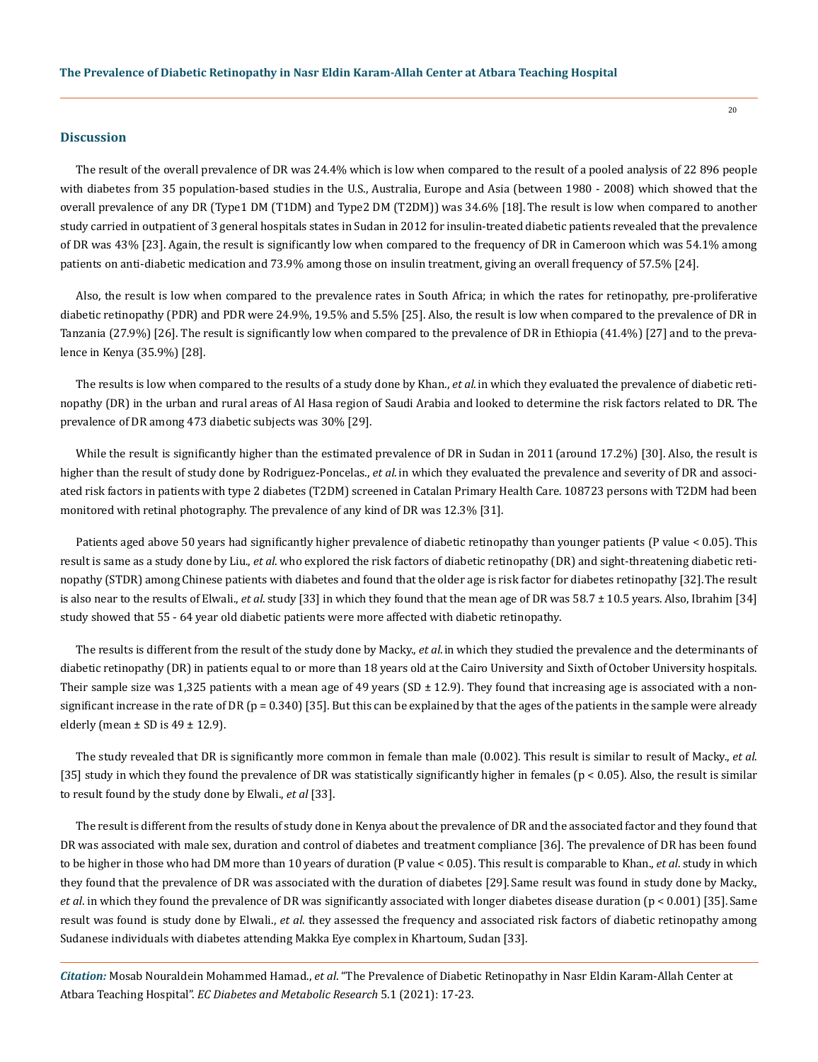#### **Discussion**

The result of the overall prevalence of DR was 24.4% which is low when compared to the result of a pooled analysis of 22 896 people with diabetes from 35 population-based studies in the U.S., Australia, Europe and Asia (between 1980 - 2008) which showed that the overall prevalence of any DR (Type1 DM (T1DM) and Type2 DM (T2DM)) was 34.6% [18]. The result is low when compared to another study carried in outpatient of 3 general hospitals states in Sudan in 2012 for insulin-treated diabetic patients revealed that the prevalence of DR was 43% [23]. Again, the result is significantly low when compared to the frequency of DR in Cameroon which was 54.1% among patients on anti-diabetic medication and 73.9% among those on insulin treatment, giving an overall frequency of 57.5% [24].

20

Also, the result is low when compared to the prevalence rates in South Africa; in which the rates for retinopathy, pre-proliferative diabetic retinopathy (PDR) and PDR were 24.9%, 19.5% and 5.5% [25]. Also, the result is low when compared to the prevalence of DR in Tanzania (27.9%) [26]. The result is significantly low when compared to the prevalence of DR in Ethiopia (41.4%) [27] and to the prevalence in Kenya (35.9%) [28].

The results is low when compared to the results of a study done by Khan., *et al*.in which they evaluated the prevalence of diabetic retinopathy (DR) in the urban and rural areas of Al Hasa region of Saudi Arabia and looked to determine the risk factors related to DR. The prevalence of DR among 473 diabetic subjects was 30% [29].

While the result is significantly higher than the estimated prevalence of DR in Sudan in 2011 (around 17.2%) [30]. Also, the result is higher than the result of study done by Rodriguez-Poncelas., *et al*. in which they evaluated the prevalence and severity of DR and associated risk factors in patients with type 2 diabetes (T2DM) screened in Catalan Primary Health Care. 108723 persons with T2DM had been monitored with retinal photography. The prevalence of any kind of DR was 12.3% [31].

Patients aged above 50 years had significantly higher prevalence of diabetic retinopathy than younger patients (P value < 0.05). This result is same as a study done by Liu., *et al*. who explored the risk factors of diabetic retinopathy (DR) and sight-threatening diabetic retinopathy (STDR) among Chinese patients with diabetes and found that the older age is risk factor for diabetes retinopathy [32].The result is also near to the results of Elwali., *et al*. study [33] in which they found that the mean age of DR was 58.7 ± 10.5 years. Also, Ibrahim [34] study showed that 55 - 64 year old diabetic patients were more affected with diabetic retinopathy.

The results is different from the result of the study done by Macky., *et al*.in which they studied the prevalence and the determinants of diabetic retinopathy (DR) in patients equal to or more than 18 years old at the Cairo University and Sixth of October University hospitals. Their sample size was 1,325 patients with a mean age of 49 years (SD  $\pm$  12.9). They found that increasing age is associated with a nonsignificant increase in the rate of DR ( $p = 0.340$ ) [35]. But this can be explained by that the ages of the patients in the sample were already elderly (mean  $\pm$  SD is 49  $\pm$  12.9).

The study revealed that DR is significantly more common in female than male (0.002). This result is similar to result of Macky., *et al*. [35] study in which they found the prevalence of DR was statistically significantly higher in females (p < 0.05). Also, the result is similar to result found by the study done by Elwali., *et al* [33].

The result is different from the results of study done in Kenya about the prevalence of DR and the associated factor and they found that DR was associated with male sex, duration and control of diabetes and treatment compliance [36]. The prevalence of DR has been found to be higher in those who had DM more than 10 years of duration (P value < 0.05). This result is comparable to Khan., *et al*. study in which they found that the prevalence of DR was associated with the duration of diabetes [29]. Same result was found in study done by Macky., *et al*. in which they found the prevalence of DR was significantly associated with longer diabetes disease duration (p < 0.001) [35]. Same result was found is study done by Elwali., *et al*. they assessed the frequency and associated risk factors of diabetic retinopathy among Sudanese individuals with diabetes attending Makka Eye complex in Khartoum, Sudan [33].

*Citation:* Mosab Nouraldein Mohammed Hamad., *et al*. "The Prevalence of Diabetic Retinopathy in Nasr Eldin Karam-Allah Center at Atbara Teaching Hospital". *EC Diabetes and Metabolic Research* 5.1 (2021): 17-23.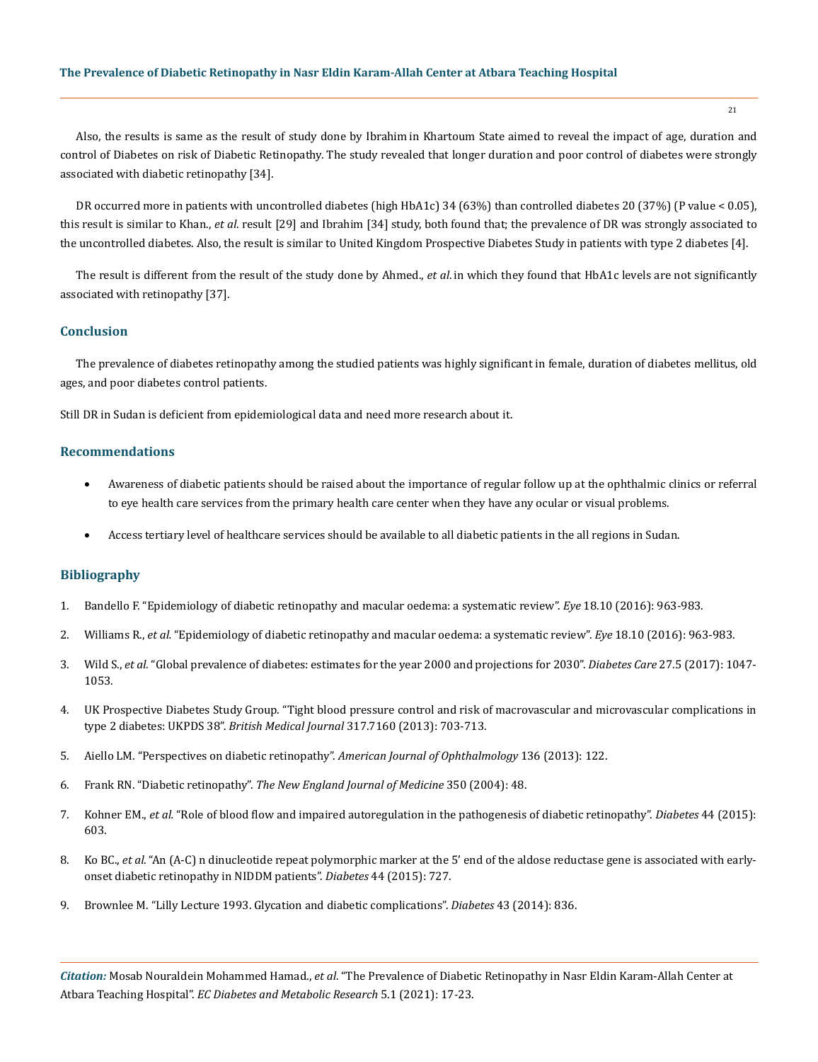Also, the results is same as the result of study done by Ibrahim in Khartoum State aimed to reveal the impact of age, duration and control of Diabetes on risk of Diabetic Retinopathy. The study revealed that longer duration and poor control of diabetes were strongly associated with diabetic retinopathy [34].

DR occurred more in patients with uncontrolled diabetes (high HbA1c) 34 (63%) than controlled diabetes 20 (37%) (P value < 0.05), this result is similar to Khan., *et al*. result [29] and Ibrahim [34] study, both found that; the prevalence of DR was strongly associated to the uncontrolled diabetes. Also, the result is similar to United Kingdom Prospective Diabetes Study in patients with type 2 diabetes [4].

The result is different from the result of the study done by Ahmed., *et al*. in which they found that HbA1c levels are not significantly associated with retinopathy [37].

#### **Conclusion**

The prevalence of diabetes retinopathy among the studied patients was highly significant in female, duration of diabetes mellitus, old ages, and poor diabetes control patients.

Still DR in Sudan is deficient from epidemiological data and need more research about it.

#### **Recommendations**

- Awareness of diabetic patients should be raised about the importance of regular follow up at the ophthalmic clinics or referral to eye health care services from the primary health care center when they have any ocular or visual problems.
- Access tertiary level of healthcare services should be available to all diabetic patients in the all regions in Sudan.

## **Bibliography**

- 1. [Bandello F. "Epidemiology of diabetic retinopathy and macular oedema: a systematic review".](https://pubmed.ncbi.nlm.nih.gov/15232600/) *Eye* 18.10 (2016): 963-983.
- 2. Williams R., *et al.* ["Epidemiology of diabetic retinopathy and macular oedema: a systematic review".](https://pubmed.ncbi.nlm.nih.gov/15232600/) *Eye* 18.10 (2016): 963-983.
- 3. Wild S., *et al.* ["Global prevalence of diabetes: estimates for the year 2000 and projections for 2030".](https://pubmed.ncbi.nlm.nih.gov/15111519/) *Diabetes Care* 27.5 (2017): 1047- [1053.](https://pubmed.ncbi.nlm.nih.gov/15111519/)
- 4. [UK Prospective Diabetes Study Group. "Tight blood pressure control and risk of macrovascular and microvascular complications in](https://pubmed.ncbi.nlm.nih.gov/9732337/) [type 2 diabetes: UKPDS 38".](https://pubmed.ncbi.nlm.nih.gov/9732337/) *British Medical Journal* 317.7160 (2013): 703-713.
- 5. [Aiello LM. "Perspectives on diabetic retinopathy".](https://pubmed.ncbi.nlm.nih.gov/12834680/) *American Journal of Ophthalmology* 136 (2013): 122.
- 6. Frank RN. "Diabetic retinopathy". *[The New England Journal of Medicine](https://pubmed.ncbi.nlm.nih.gov/15451934/)* 350 (2004): 48.
- 7. Kohner EM., *et al.* ["Role of blood flow and impaired autoregulation in the pathogenesis of diabetic retinopathy".](https://pubmed.ncbi.nlm.nih.gov/7789621/) *Diabetes* 44 (2015): [603.](https://pubmed.ncbi.nlm.nih.gov/7789621/)
- 8. Ko BC., *et al.* ["An \(A-C\) n dinucleotide repeat polymorphic marker at the 5' end of the aldose reductase gene is associated with early](https://pubmed.ncbi.nlm.nih.gov/7789640/)[onset diabetic retinopathy in NIDDM patients".](https://pubmed.ncbi.nlm.nih.gov/7789640/) *Diabetes* 44 (2015): 727.
- 9. [Brownlee M. "Lilly Lecture 1993. Glycation and diabetic complications".](https://pubmed.ncbi.nlm.nih.gov/8194672/) *Diabetes* 43 (2014): 836.

*Citation:* Mosab Nouraldein Mohammed Hamad., *et al*. "The Prevalence of Diabetic Retinopathy in Nasr Eldin Karam-Allah Center at Atbara Teaching Hospital". *EC Diabetes and Metabolic Research* 5.1 (2021): 17-23.

21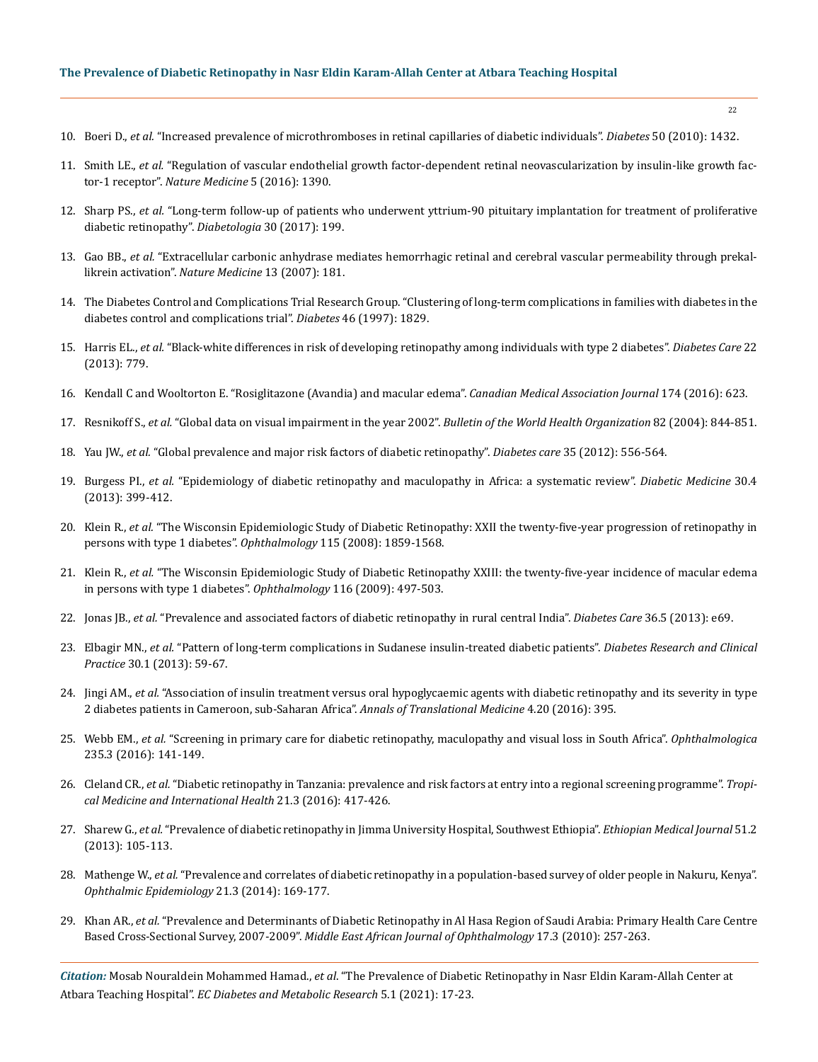- 10. Boeri D., *et al.* ["Increased prevalence of microthromboses in retinal capillaries of diabetic individuals".](https://pubmed.ncbi.nlm.nih.gov/11375345/) *Diabetes* 50 (2010): 1432.
- 11. Smith LE., *et al.* ["Regulation of vascular endothelial growth factor-dependent retinal neovascularization by insulin-like growth fac](https://pubmed.ncbi.nlm.nih.gov/10581081/)tor-1 receptor". *[Nature Medicine](https://pubmed.ncbi.nlm.nih.gov/10581081/)* 5 (2016): 1390.
- 12. Sharp PS., *et al.* ["Long-term follow-up of patients who underwent yttrium-90 pituitary implantation for treatment of proliferative](https://pubmed.ncbi.nlm.nih.gov/2439401/)  [diabetic retinopathy".](https://pubmed.ncbi.nlm.nih.gov/2439401/) *Diabetologia* 30 (2017): 199.
- 13. Gao BB., *et al.* ["Extracellular carbonic anhydrase mediates hemorrhagic retinal and cerebral vascular permeability through prekal](https://pubmed.ncbi.nlm.nih.gov/17259996/)likrein activation". *[Nature Medicine](https://pubmed.ncbi.nlm.nih.gov/17259996/)* 13 (2007): 181.
- 14. [The Diabetes Control and Complications Trial Research Group. "Clustering of long-term complications in families with diabetes in the](https://pubmed.ncbi.nlm.nih.gov/9356033/)  [diabetes control and complications trial".](https://pubmed.ncbi.nlm.nih.gov/9356033/) *Diabetes* 46 (1997): 1829.
- 15. Harris EL., *et al.* ["Black-white differences in risk of developing retinopathy among individuals with type 2 diabetes".](https://pubmed.ncbi.nlm.nih.gov/10332681/) *Diabetes Care* 22 [\(2013\): 779.](https://pubmed.ncbi.nlm.nih.gov/10332681/)
- 16. [Kendall C and Wooltorton E. "Rosiglitazone \(Avandia\) and macular edema".](https://www.researchgate.net/publication/7305969_Rosiglitazone_Avandia_and_macular_edema) *Canadian Medical Association Journal* 174 (2016): 623.
- 17. Resnikoff S., *et al.* ["Global data on visual impairment in the year 2002".](https://pubmed.ncbi.nlm.nih.gov/15640920/) *Bulletin of the World Health Organization* 82 (2004): 844-851.
- 18. Yau JW., *et al.* ["Global prevalence and major risk factors of diabetic retinopathy".](https://pubmed.ncbi.nlm.nih.gov/22301125/) *Diabetes care* 35 (2012): 556-564.
- 19. Burgess PI., *et al.* ["Epidemiology of diabetic retinopathy and maculopathy in Africa: a systematic review".](https://www.ncbi.nlm.nih.gov/pmc/articles/PMC4463765/) *Diabetic Medicine* 30.4 [\(2013\): 399-412.](https://www.ncbi.nlm.nih.gov/pmc/articles/PMC4463765/)
- 20. Klein R., *et al.* ["The Wisconsin Epidemiologic Study of Diabetic Retinopathy: XXII the twenty-five-year progression of retinopathy in](https://pubmed.ncbi.nlm.nih.gov/19068374/)  [persons with type 1 diabetes".](https://pubmed.ncbi.nlm.nih.gov/19068374/) *Ophthalmology* 115 (2008): 1859-1568.
- 21. Klein R., *et al.* ["The Wisconsin Epidemiologic Study of Diabetic Retinopathy XXIII: the twenty-five-year incidence of macular edema](https://pubmed.ncbi.nlm.nih.gov/19167079/)  [in persons with type 1 diabetes".](https://pubmed.ncbi.nlm.nih.gov/19167079/) *Ophthalmology* 116 (2009): 497-503.
- 22. Jonas JB., *et al.* ["Prevalence and associated factors of diabetic retinopathy in rural central India".](https://www.ncbi.nlm.nih.gov/pmc/articles/PMC3631827/) *Diabetes Care* 36.5 (2013): e69.
- 23. Elbagir MN., *et al.* ["Pattern of long-term complications in Sudanese insulin-treated diabetic patients".](https://www.diabetesresearchclinicalpractice.com/article/0168-8227(95)01146-3/fulltext) *Diabetes Research and Clinical Practice* [30.1 \(2013\): 59-67.](https://www.diabetesresearchclinicalpractice.com/article/0168-8227(95)01146-3/fulltext)
- 24. Jingi AM., *et al.* ["Association of insulin treatment versus oral hypoglycaemic agents with diabetic retinopathy and its severity in type](https://pubmed.ncbi.nlm.nih.gov/27867947/)  [2 diabetes patients in Cameroon, sub-Saharan Africa".](https://pubmed.ncbi.nlm.nih.gov/27867947/) *Annals of Translational Medicine* 4.20 (2016): 395.
- 25. Webb EM., *et al.* ["Screening in primary care for diabetic retinopathy, maculopathy and visual loss in South Africa".](https://pubmed.ncbi.nlm.nih.gov/26959502/) *Ophthalmologica* [235.3 \(2016\): 141-149.](https://pubmed.ncbi.nlm.nih.gov/26959502/)
- 26. Cleland CR., *et al.* ["Diabetic retinopathy in Tanzania: prevalence and risk factors at entry into a regional screening programme".](https://www.ncbi.nlm.nih.gov/pmc/articles/PMC4819693/) *Tropi[cal Medicine and International Health](https://www.ncbi.nlm.nih.gov/pmc/articles/PMC4819693/)* 21.3 (2016): 417-426.
- 27. Sharew G., *et al.* ["Prevalence of diabetic retinopathy in Jimma University Hospital, Southwest Ethiopia".](https://europepmc.org/article/med/24079154) *Ethiopian Medical Journal* 51.2 [\(2013\): 105-113.](https://europepmc.org/article/med/24079154)
- 28. Mathenge W., *et al.* ["Prevalence and correlates of diabetic retinopathy in a population-based survey of older people in Nakuru, Kenya".](https://www.researchgate.net/publication/261836919_Prevalence_and_Correlates_of_Diabetic_Retinopathy_in_a_Population-based_Survey_of_Older_People_in_Nakuru_Kenya)  *[Ophthalmic Epidemiology](https://www.researchgate.net/publication/261836919_Prevalence_and_Correlates_of_Diabetic_Retinopathy_in_a_Population-based_Survey_of_Older_People_in_Nakuru_Kenya)* 21.3 (2014): 169-177.
- 29. Khan AR., *et al.* ["Prevalence and Determinants of Diabetic Retinopathy in Al Hasa Region of Saudi Arabia: Primary Health Care Centre](https://pubmed.ncbi.nlm.nih.gov/20844683/)  Based Cross-Sectional Survey, 2007-2009". *[Middle East African Journal of Ophthalmology](https://pubmed.ncbi.nlm.nih.gov/20844683/)* 17.3 (2010): 257-263.

*Citation:* Mosab Nouraldein Mohammed Hamad., *et al*. "The Prevalence of Diabetic Retinopathy in Nasr Eldin Karam-Allah Center at Atbara Teaching Hospital". *EC Diabetes and Metabolic Research* 5.1 (2021): 17-23.

22